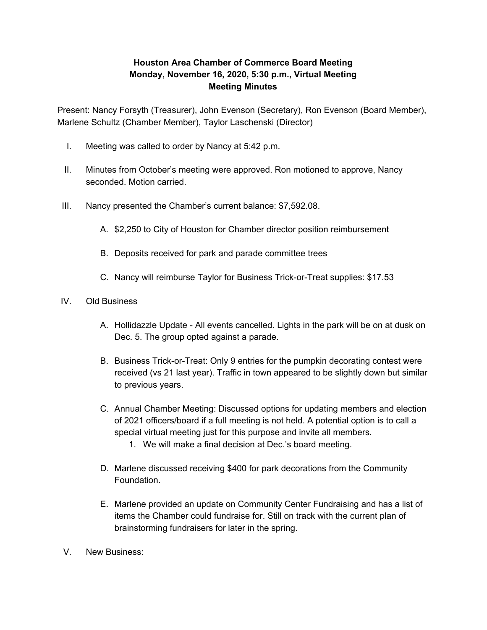## **Houston Area Chamber of Commerce Board Meeting Monday, November 16, 2020, 5:30 p.m., Virtual Meeting Meeting Minutes**

Present: Nancy Forsyth (Treasurer), John Evenson (Secretary), Ron Evenson (Board Member), Marlene Schultz (Chamber Member), Taylor Laschenski (Director)

- I. Meeting was called to order by Nancy at 5:42 p.m.
- II. Minutes from October's meeting were approved. Ron motioned to approve, Nancy seconded. Motion carried.
- III. Nancy presented the Chamber's current balance: \$7,592.08.
	- A. \$2,250 to City of Houston for Chamber director position reimbursement
	- B. Deposits received for park and parade committee trees
	- C. Nancy will reimburse Taylor for Business Trick-or-Treat supplies: \$17.53
- IV. Old Business
	- A. Hollidazzle Update All events cancelled. Lights in the park will be on at dusk on Dec. 5. The group opted against a parade.
	- B. Business Trick-or-Treat: Only 9 entries for the pumpkin decorating contest were received (vs 21 last year). Traffic in town appeared to be slightly down but similar to previous years.
	- C. Annual Chamber Meeting: Discussed options for updating members and election of 2021 officers/board if a full meeting is not held. A potential option is to call a special virtual meeting just for this purpose and invite all members.
		- 1. We will make a final decision at Dec.'s board meeting.
	- D. Marlene discussed receiving \$400 for park decorations from the Community Foundation.
	- E. Marlene provided an update on Community Center Fundraising and has a list of items the Chamber could fundraise for. Still on track with the current plan of brainstorming fundraisers for later in the spring.
- V. New Business: